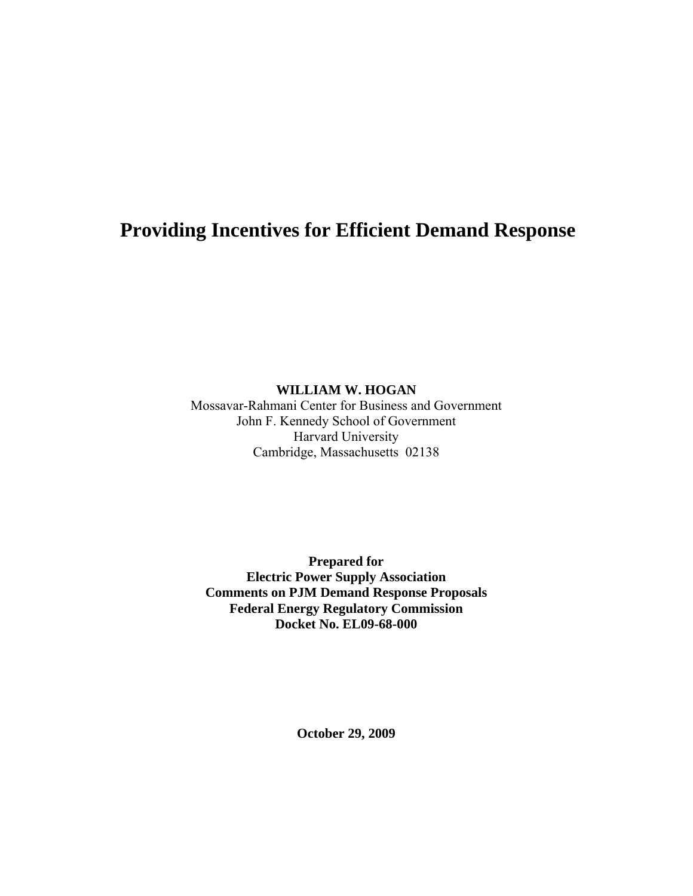# **Providing Incentives for Efficient Demand Response**

**WILLIAM W. HOGAN** 

Mossavar-Rahmani Center for Business and Government John F. Kennedy School of Government Harvard University Cambridge, Massachusetts 02138

**Prepared for Electric Power Supply Association Comments on PJM Demand Response Proposals Federal Energy Regulatory Commission Docket No. EL09-68-000** 

**October 29, 2009**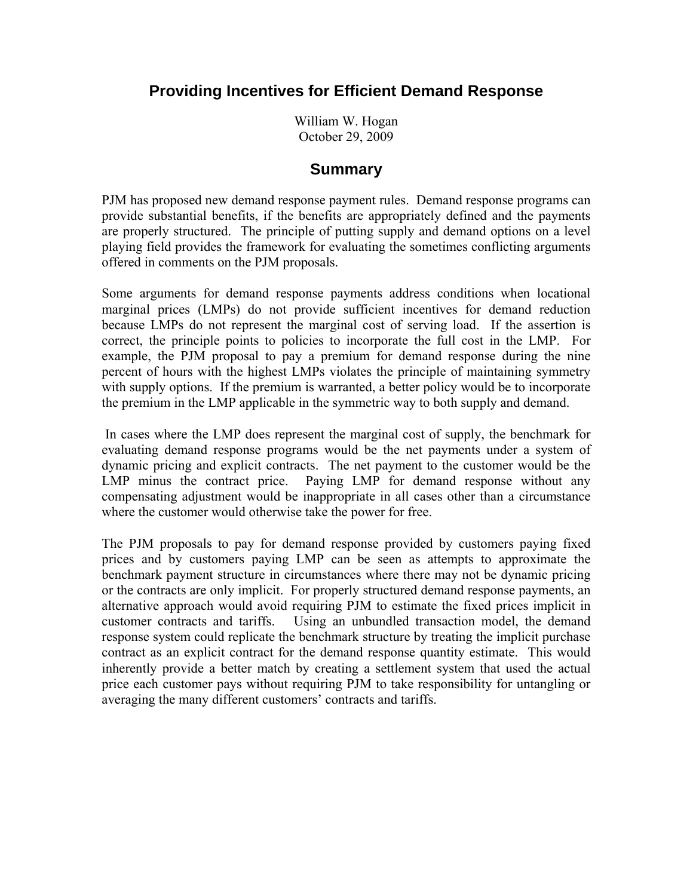## **Providing Incentives for Efficient Demand Response**

William W. Hogan October 29, 2009

#### **Summary**

PJM has proposed new demand response payment rules. Demand response programs can provide substantial benefits, if the benefits are appropriately defined and the payments are properly structured. The principle of putting supply and demand options on a level playing field provides the framework for evaluating the sometimes conflicting arguments offered in comments on the PJM proposals.

Some arguments for demand response payments address conditions when locational marginal prices (LMPs) do not provide sufficient incentives for demand reduction because LMPs do not represent the marginal cost of serving load. If the assertion is correct, the principle points to policies to incorporate the full cost in the LMP. For example, the PJM proposal to pay a premium for demand response during the nine percent of hours with the highest LMPs violates the principle of maintaining symmetry with supply options. If the premium is warranted, a better policy would be to incorporate the premium in the LMP applicable in the symmetric way to both supply and demand.

 In cases where the LMP does represent the marginal cost of supply, the benchmark for evaluating demand response programs would be the net payments under a system of dynamic pricing and explicit contracts. The net payment to the customer would be the LMP minus the contract price. Paying LMP for demand response without any compensating adjustment would be inappropriate in all cases other than a circumstance where the customer would otherwise take the power for free.

The PJM proposals to pay for demand response provided by customers paying fixed prices and by customers paying LMP can be seen as attempts to approximate the benchmark payment structure in circumstances where there may not be dynamic pricing or the contracts are only implicit. For properly structured demand response payments, an alternative approach would avoid requiring PJM to estimate the fixed prices implicit in customer contracts and tariffs. Using an unbundled transaction model, the demand response system could replicate the benchmark structure by treating the implicit purchase contract as an explicit contract for the demand response quantity estimate. This would inherently provide a better match by creating a settlement system that used the actual price each customer pays without requiring PJM to take responsibility for untangling or averaging the many different customers' contracts and tariffs.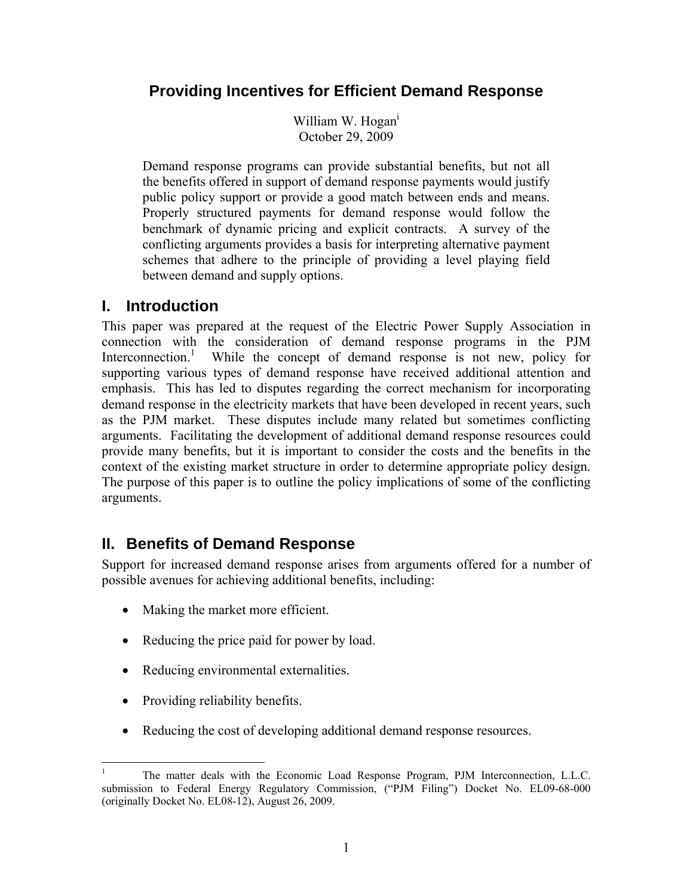# **Providing Incentives for Efficient Demand Response**

William W. Hogan<sup>i</sup> October 29, 2009

Demand response programs can provide substantial benefits, but not all the benefits offered in support of demand response payments would justify public policy support or provide a good match between ends and means. Properly structured payments for demand response would follow the benchmark of dynamic pricing and explicit contracts. A survey of the conflicting arguments provides a basis for interpreting alternative payment schemes that adhere to the principle of providing a level playing field between demand and supply options.

### **I. Introduction**

This paper was prepared at the request of the Electric Power Supply Association in connection with the consideration of demand response programs in the PJM Interconnection.<sup>1</sup> While the concept of demand response is not new, policy for supporting various types of demand response have received additional attention and emphasis. This has led to disputes regarding the correct mechanism for incorporating demand response in the electricity markets that have been developed in recent years, such as the PJM market. These disputes include many related but sometimes conflicting arguments. Facilitating the development of additional demand response resources could provide many benefits, but it is important to consider the costs and the benefits in the context of the existing market structure in order to determine appropriate policy design. The purpose of this paper is to outline the policy implications of some of the conflicting arguments.

# **II. Benefits of Demand Response**

Support for increased demand response arises from arguments offered for a number of possible avenues for achieving additional benefits, including:

- Making the market more efficient.
- Reducing the price paid for power by load.
- Reducing environmental externalities.
- Providing reliability benefits.
- Reducing the cost of developing additional demand response resources.

<sup>1</sup> 1 The matter deals with the Economic Load Response Program, PJM Interconnection, L.L.C. submission to Federal Energy Regulatory Commission, ("PJM Filing") Docket No. EL09-68-000 (originally Docket No. EL08-12), August 26, 2009.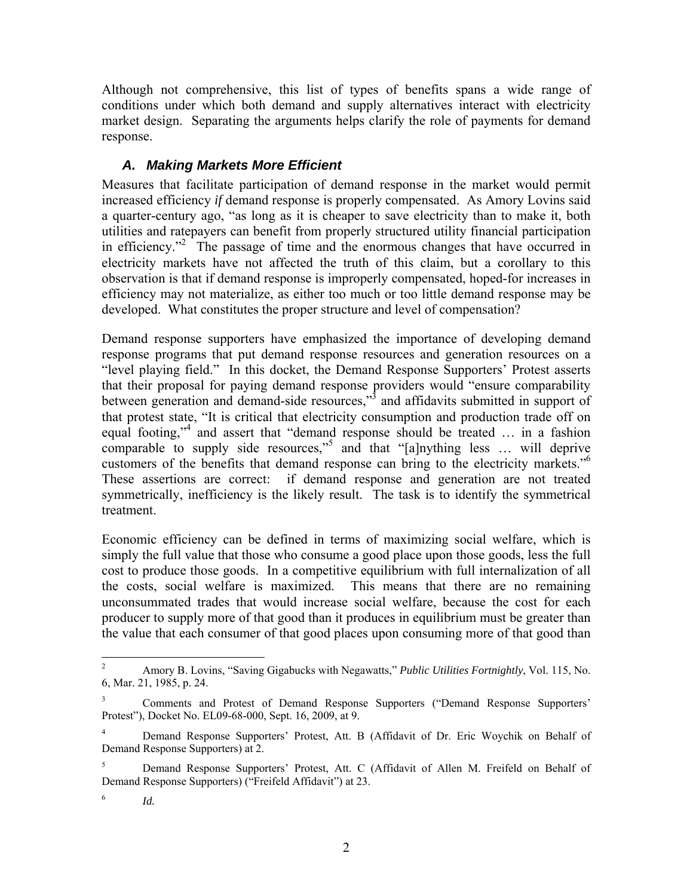Although not comprehensive, this list of types of benefits spans a wide range of conditions under which both demand and supply alternatives interact with electricity market design. Separating the arguments helps clarify the role of payments for demand response.

### *A. Making Markets More Efficient*

Measures that facilitate participation of demand response in the market would permit increased efficiency *if* demand response is properly compensated. As Amory Lovins said a quarter-century ago, "as long as it is cheaper to save electricity than to make it, both utilities and ratepayers can benefit from properly structured utility financial participation in efficiency."<sup>2</sup> The passage of time and the enormous changes that have occurred in electricity markets have not affected the truth of this claim, but a corollary to this observation is that if demand response is improperly compensated, hoped-for increases in efficiency may not materialize, as either too much or too little demand response may be developed. What constitutes the proper structure and level of compensation?

Demand response supporters have emphasized the importance of developing demand response programs that put demand response resources and generation resources on a "level playing field." In this docket, the Demand Response Supporters' Protest asserts that their proposal for paying demand response providers would "ensure comparability between generation and demand-side resources,"<sup>3</sup> and affidavits submitted in support of that protest state, "It is critical that electricity consumption and production trade off on equal footing,"<sup>4</sup> and assert that "demand response should be treated ... in a fashion comparable to supply side resources,"<sup>5</sup> and that "[a]nything less ... will deprive customers of the benefits that demand response can bring to the electricity markets."6 These assertions are correct: if demand response and generation are not treated symmetrically, inefficiency is the likely result. The task is to identify the symmetrical treatment.

Economic efficiency can be defined in terms of maximizing social welfare, which is simply the full value that those who consume a good place upon those goods, less the full cost to produce those goods. In a competitive equilibrium with full internalization of all the costs, social welfare is maximized. This means that there are no remaining unconsummated trades that would increase social welfare, because the cost for each producer to supply more of that good than it produces in equilibrium must be greater than the value that each consumer of that good places upon consuming more of that good than

 $\frac{1}{2}$  Amory B. Lovins, "Saving Gigabucks with Negawatts," *Public Utilities Fortnightly*, Vol. 115, No. 6, Mar. 21, 1985, p. 24.

<sup>3</sup> Comments and Protest of Demand Response Supporters ("Demand Response Supporters' Protest"), Docket No. EL09-68-000, Sept. 16, 2009, at 9.

<sup>4</sup> Demand Response Supporters' Protest, Att. B (Affidavit of Dr. Eric Woychik on Behalf of Demand Response Supporters) at 2.

<sup>5</sup> Demand Response Supporters' Protest, Att. C (Affidavit of Allen M. Freifeld on Behalf of Demand Response Supporters) ("Freifeld Affidavit") at 23.

<sup>6</sup> *Id.*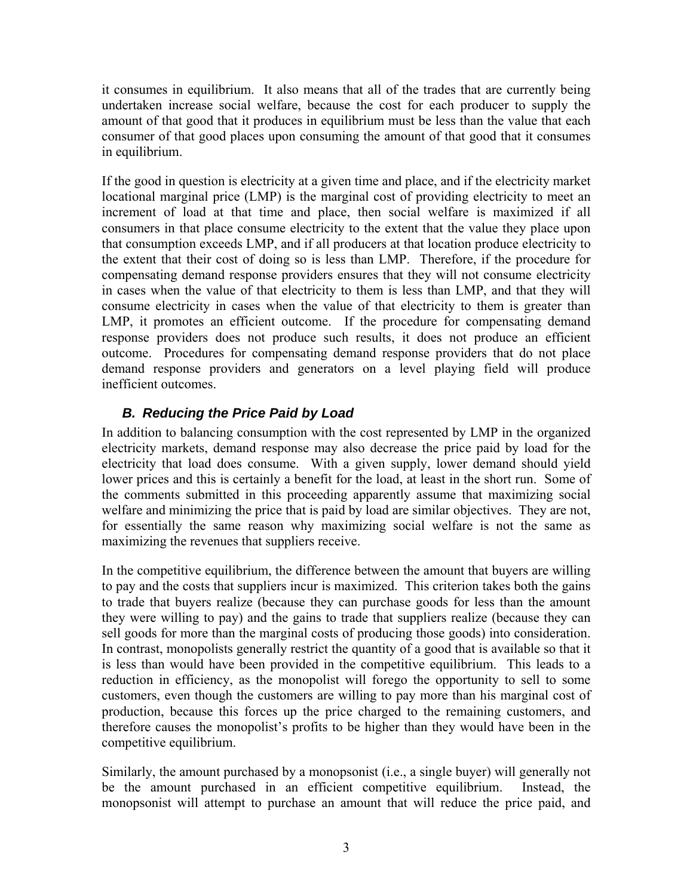it consumes in equilibrium. It also means that all of the trades that are currently being undertaken increase social welfare, because the cost for each producer to supply the amount of that good that it produces in equilibrium must be less than the value that each consumer of that good places upon consuming the amount of that good that it consumes in equilibrium.

If the good in question is electricity at a given time and place, and if the electricity market locational marginal price (LMP) is the marginal cost of providing electricity to meet an increment of load at that time and place, then social welfare is maximized if all consumers in that place consume electricity to the extent that the value they place upon that consumption exceeds LMP, and if all producers at that location produce electricity to the extent that their cost of doing so is less than LMP. Therefore, if the procedure for compensating demand response providers ensures that they will not consume electricity in cases when the value of that electricity to them is less than LMP, and that they will consume electricity in cases when the value of that electricity to them is greater than LMP, it promotes an efficient outcome. If the procedure for compensating demand response providers does not produce such results, it does not produce an efficient outcome. Procedures for compensating demand response providers that do not place demand response providers and generators on a level playing field will produce inefficient outcomes.

### *B. Reducing the Price Paid by Load*

In addition to balancing consumption with the cost represented by LMP in the organized electricity markets, demand response may also decrease the price paid by load for the electricity that load does consume. With a given supply, lower demand should yield lower prices and this is certainly a benefit for the load, at least in the short run. Some of the comments submitted in this proceeding apparently assume that maximizing social welfare and minimizing the price that is paid by load are similar objectives. They are not, for essentially the same reason why maximizing social welfare is not the same as maximizing the revenues that suppliers receive.

In the competitive equilibrium, the difference between the amount that buyers are willing to pay and the costs that suppliers incur is maximized. This criterion takes both the gains to trade that buyers realize (because they can purchase goods for less than the amount they were willing to pay) and the gains to trade that suppliers realize (because they can sell goods for more than the marginal costs of producing those goods) into consideration. In contrast, monopolists generally restrict the quantity of a good that is available so that it is less than would have been provided in the competitive equilibrium. This leads to a reduction in efficiency, as the monopolist will forego the opportunity to sell to some customers, even though the customers are willing to pay more than his marginal cost of production, because this forces up the price charged to the remaining customers, and therefore causes the monopolist's profits to be higher than they would have been in the competitive equilibrium.

Similarly, the amount purchased by a monopsonist (i.e., a single buyer) will generally not be the amount purchased in an efficient competitive equilibrium. Instead, the monopsonist will attempt to purchase an amount that will reduce the price paid, and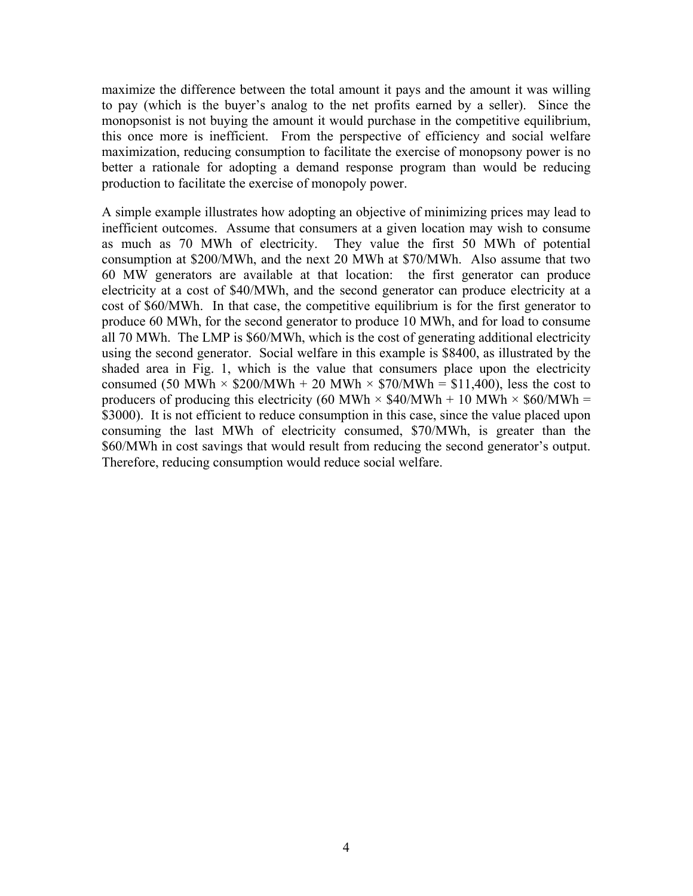maximize the difference between the total amount it pays and the amount it was willing to pay (which is the buyer's analog to the net profits earned by a seller). Since the monopsonist is not buying the amount it would purchase in the competitive equilibrium, this once more is inefficient. From the perspective of efficiency and social welfare maximization, reducing consumption to facilitate the exercise of monopsony power is no better a rationale for adopting a demand response program than would be reducing production to facilitate the exercise of monopoly power.

A simple example illustrates how adopting an objective of minimizing prices may lead to inefficient outcomes. Assume that consumers at a given location may wish to consume as much as 70 MWh of electricity. They value the first 50 MWh of potential consumption at \$200/MWh, and the next 20 MWh at \$70/MWh. Also assume that two 60 MW generators are available at that location: the first generator can produce electricity at a cost of \$40/MWh, and the second generator can produce electricity at a cost of \$60/MWh. In that case, the competitive equilibrium is for the first generator to produce 60 MWh, for the second generator to produce 10 MWh, and for load to consume all 70 MWh. The LMP is \$60/MWh, which is the cost of generating additional electricity using the second generator. Social welfare in this example is \$8400, as illustrated by the shaded area in Fig. 1, which is the value that consumers place upon the electricity consumed (50 MWh  $\times$  \$200/MWh + 20 MWh  $\times$  \$70/MWh = \$11,400), less the cost to producers of producing this electricity (60 MWh  $\times$  \$40/MWh + 10 MWh  $\times$  \$60/MWh = \$3000). It is not efficient to reduce consumption in this case, since the value placed upon consuming the last MWh of electricity consumed, \$70/MWh, is greater than the \$60/MWh in cost savings that would result from reducing the second generator's output. Therefore, reducing consumption would reduce social welfare.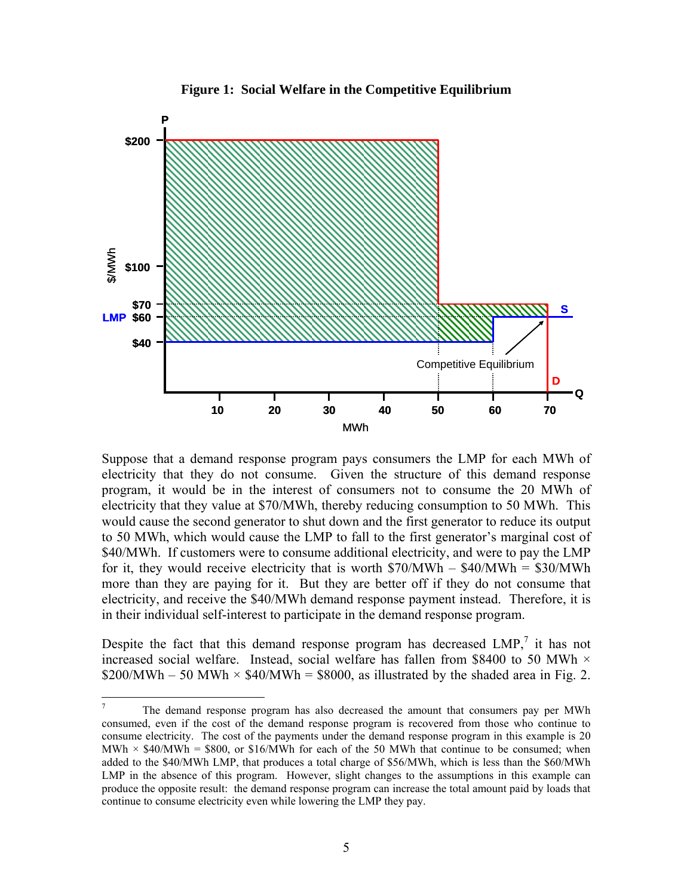



Suppose that a demand response program pays consumers the LMP for each MWh of electricity that they do not consume. Given the structure of this demand response program, it would be in the interest of consumers not to consume the 20 MWh of electricity that they value at \$70/MWh, thereby reducing consumption to 50 MWh. This would cause the second generator to shut down and the first generator to reduce its output to 50 MWh, which would cause the LMP to fall to the first generator's marginal cost of \$40/MWh. If customers were to consume additional electricity, and were to pay the LMP for it, they would receive electricity that is worth  $$70/MWh - $40/MWh = $30/MWh$ more than they are paying for it. But they are better off if they do not consume that electricity, and receive the \$40/MWh demand response payment instead. Therefore, it is in their individual self-interest to participate in the demand response program.

Despite the fact that this demand response program has decreased  $LMP$ ,<sup>7</sup> it has not increased social welfare. Instead, social welfare has fallen from \$8400 to 50 MWh  $\times$ \$200/MWh – 50 MWh  $\times$  \$40/MWh = \$8000, as illustrated by the shaded area in Fig. 2.

<sup>-&</sup>lt;br>7 The demand response program has also decreased the amount that consumers pay per MWh consumed, even if the cost of the demand response program is recovered from those who continue to consume electricity. The cost of the payments under the demand response program in this example is 20 MWh  $\times$  \$40/MWh = \$800, or \$16/MWh for each of the 50 MWh that continue to be consumed; when added to the \$40/MWh LMP, that produces a total charge of \$56/MWh, which is less than the \$60/MWh LMP in the absence of this program. However, slight changes to the assumptions in this example can produce the opposite result: the demand response program can increase the total amount paid by loads that continue to consume electricity even while lowering the LMP they pay.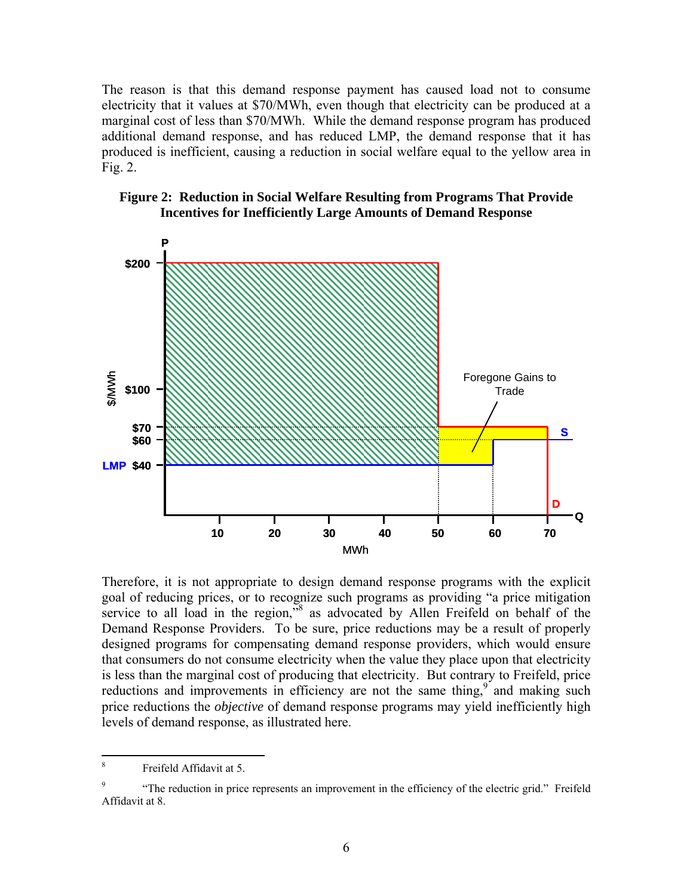The reason is that this demand response payment has caused load not to consume electricity that it values at \$70/MWh, even though that electricity can be produced at a marginal cost of less than \$70/MWh. While the demand response program has produced additional demand response, and has reduced LMP, the demand response that it has produced is inefficient, causing a reduction in social welfare equal to the yellow area in Fig. 2.





Therefore, it is not appropriate to design demand response programs with the explicit goal of reducing prices, or to recognize such programs as providing "a price mitigation service to all load in the region,<sup>38</sup> as advocated by Allen Freifeld on behalf of the Demand Response Providers. To be sure, price reductions may be a result of properly designed programs for compensating demand response providers, which would ensure that consumers do not consume electricity when the value they place upon that electricity is less than the marginal cost of producing that electricity. But contrary to Freifeld, price reductions and improvements in efficiency are not the same thing, $9^{\circ}$  and making such price reductions the *objective* of demand response programs may yield inefficiently high levels of demand response, as illustrated here.

 $\overline{a}$ 

<sup>8</sup> Freifeld Affidavit at 5.

<sup>9</sup> "The reduction in price represents an improvement in the efficiency of the electric grid." Freifeld Affidavit at 8.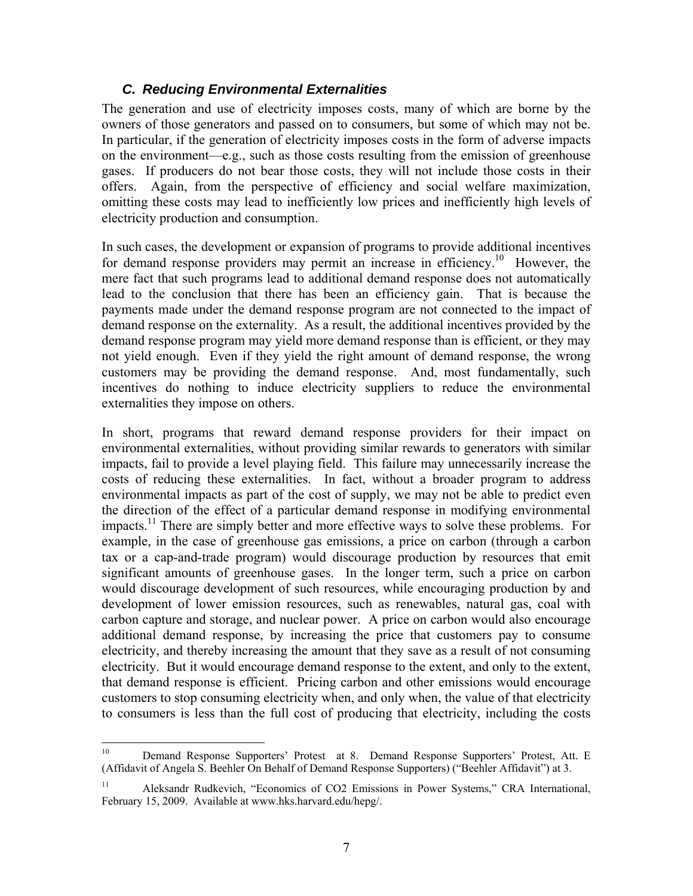#### *C. Reducing Environmental Externalities*

The generation and use of electricity imposes costs, many of which are borne by the owners of those generators and passed on to consumers, but some of which may not be. In particular, if the generation of electricity imposes costs in the form of adverse impacts on the environment—e.g., such as those costs resulting from the emission of greenhouse gases. If producers do not bear those costs, they will not include those costs in their offers. Again, from the perspective of efficiency and social welfare maximization, omitting these costs may lead to inefficiently low prices and inefficiently high levels of electricity production and consumption.

In such cases, the development or expansion of programs to provide additional incentives for demand response providers may permit an increase in efficiency.<sup>10</sup> However, the mere fact that such programs lead to additional demand response does not automatically lead to the conclusion that there has been an efficiency gain. That is because the payments made under the demand response program are not connected to the impact of demand response on the externality. As a result, the additional incentives provided by the demand response program may yield more demand response than is efficient, or they may not yield enough. Even if they yield the right amount of demand response, the wrong customers may be providing the demand response. And, most fundamentally, such incentives do nothing to induce electricity suppliers to reduce the environmental externalities they impose on others.

In short, programs that reward demand response providers for their impact on environmental externalities, without providing similar rewards to generators with similar impacts, fail to provide a level playing field. This failure may unnecessarily increase the costs of reducing these externalities. In fact, without a broader program to address environmental impacts as part of the cost of supply, we may not be able to predict even the direction of the effect of a particular demand response in modifying environmental impacts.<sup>11</sup> There are simply better and more effective ways to solve these problems. For example, in the case of greenhouse gas emissions, a price on carbon (through a carbon tax or a cap-and-trade program) would discourage production by resources that emit significant amounts of greenhouse gases. In the longer term, such a price on carbon would discourage development of such resources, while encouraging production by and development of lower emission resources, such as renewables, natural gas, coal with carbon capture and storage, and nuclear power. A price on carbon would also encourage additional demand response, by increasing the price that customers pay to consume electricity, and thereby increasing the amount that they save as a result of not consuming electricity. But it would encourage demand response to the extent, and only to the extent, that demand response is efficient. Pricing carbon and other emissions would encourage customers to stop consuming electricity when, and only when, the value of that electricity to consumers is less than the full cost of producing that electricity, including the costs

 $10\,$ 10 Demand Response Supporters' Protest at 8. Demand Response Supporters' Protest, Att. E (Affidavit of Angela S. Beehler On Behalf of Demand Response Supporters) ("Beehler Affidavit") at 3.

<sup>11</sup> Aleksandr Rudkevich, "Economics of CO2 Emissions in Power Systems," CRA International, February 15, 2009. Available at www.hks.harvard.edu/hepg/.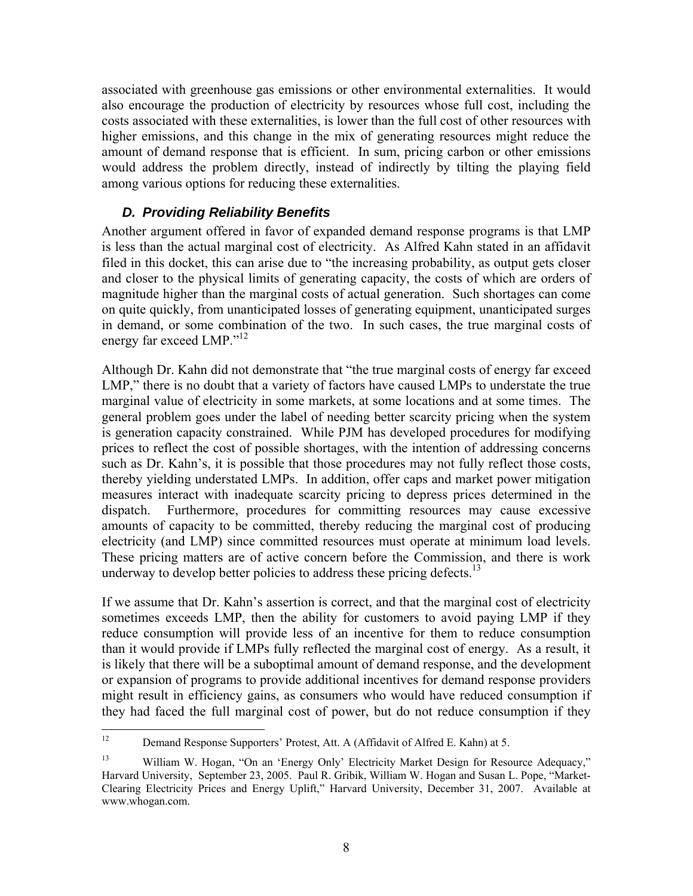associated with greenhouse gas emissions or other environmental externalities. It would also encourage the production of electricity by resources whose full cost, including the costs associated with these externalities, is lower than the full cost of other resources with higher emissions, and this change in the mix of generating resources might reduce the amount of demand response that is efficient. In sum, pricing carbon or other emissions would address the problem directly, instead of indirectly by tilting the playing field among various options for reducing these externalities.

#### *D. Providing Reliability Benefits*

Another argument offered in favor of expanded demand response programs is that LMP is less than the actual marginal cost of electricity. As Alfred Kahn stated in an affidavit filed in this docket, this can arise due to "the increasing probability, as output gets closer and closer to the physical limits of generating capacity, the costs of which are orders of magnitude higher than the marginal costs of actual generation. Such shortages can come on quite quickly, from unanticipated losses of generating equipment, unanticipated surges in demand, or some combination of the two. In such cases, the true marginal costs of energy far exceed LMP."<sup>12</sup>

Although Dr. Kahn did not demonstrate that "the true marginal costs of energy far exceed LMP," there is no doubt that a variety of factors have caused LMPs to understate the true marginal value of electricity in some markets, at some locations and at some times. The general problem goes under the label of needing better scarcity pricing when the system is generation capacity constrained. While PJM has developed procedures for modifying prices to reflect the cost of possible shortages, with the intention of addressing concerns such as Dr. Kahn's, it is possible that those procedures may not fully reflect those costs, thereby yielding understated LMPs. In addition, offer caps and market power mitigation measures interact with inadequate scarcity pricing to depress prices determined in the dispatch. Furthermore, procedures for committing resources may cause excessive amounts of capacity to be committed, thereby reducing the marginal cost of producing electricity (and LMP) since committed resources must operate at minimum load levels. These pricing matters are of active concern before the Commission, and there is work underway to develop better policies to address these pricing defects.<sup>13</sup>

If we assume that Dr. Kahn's assertion is correct, and that the marginal cost of electricity sometimes exceeds LMP, then the ability for customers to avoid paying LMP if they reduce consumption will provide less of an incentive for them to reduce consumption than it would provide if LMPs fully reflected the marginal cost of energy. As a result, it is likely that there will be a suboptimal amount of demand response, and the development or expansion of programs to provide additional incentives for demand response providers might result in efficiency gains, as consumers who would have reduced consumption if they had faced the full marginal cost of power, but do not reduce consumption if they

 $12$ 12 Demand Response Supporters' Protest, Att. A (Affidavit of Alfred E. Kahn) at 5.

<sup>&</sup>lt;sup>13</sup> William W. Hogan, "On an 'Energy Only' Electricity Market Design for Resource Adequacy," Harvard University, September 23, 2005. Paul R. Gribik, William W. Hogan and Susan L. Pope, "Market-Clearing Electricity Prices and Energy Uplift," Harvard University, December 31, 2007. Available at www.whogan.com.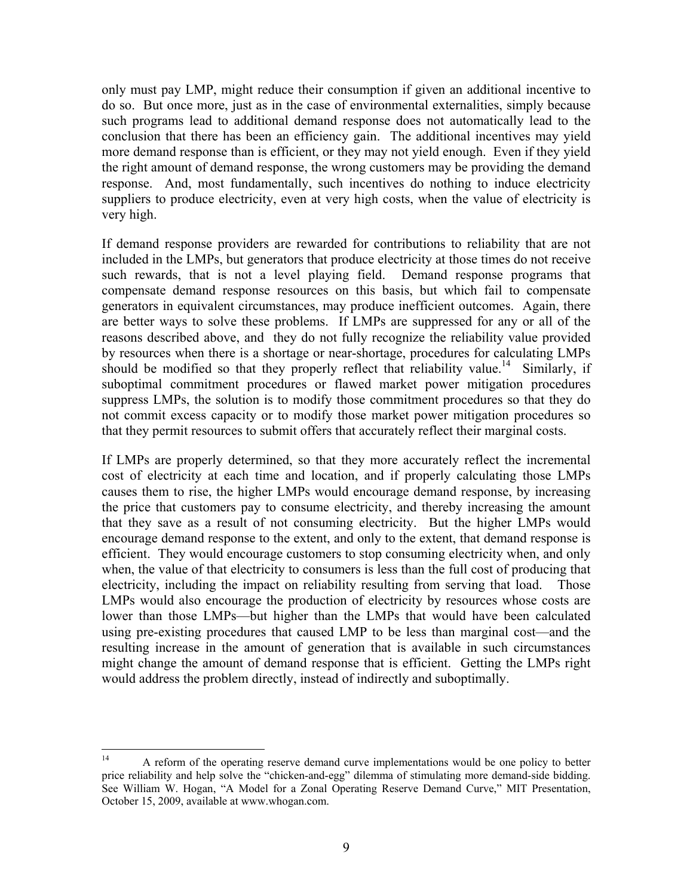only must pay LMP, might reduce their consumption if given an additional incentive to do so. But once more, just as in the case of environmental externalities, simply because such programs lead to additional demand response does not automatically lead to the conclusion that there has been an efficiency gain. The additional incentives may yield more demand response than is efficient, or they may not yield enough. Even if they yield the right amount of demand response, the wrong customers may be providing the demand response. And, most fundamentally, such incentives do nothing to induce electricity suppliers to produce electricity, even at very high costs, when the value of electricity is very high.

If demand response providers are rewarded for contributions to reliability that are not included in the LMPs, but generators that produce electricity at those times do not receive such rewards, that is not a level playing field. Demand response programs that compensate demand response resources on this basis, but which fail to compensate generators in equivalent circumstances, may produce inefficient outcomes. Again, there are better ways to solve these problems. If LMPs are suppressed for any or all of the reasons described above, and they do not fully recognize the reliability value provided by resources when there is a shortage or near-shortage, procedures for calculating LMPs should be modified so that they properly reflect that reliability value.<sup>14</sup> Similarly, if suboptimal commitment procedures or flawed market power mitigation procedures suppress LMPs, the solution is to modify those commitment procedures so that they do not commit excess capacity or to modify those market power mitigation procedures so that they permit resources to submit offers that accurately reflect their marginal costs.

If LMPs are properly determined, so that they more accurately reflect the incremental cost of electricity at each time and location, and if properly calculating those LMPs causes them to rise, the higher LMPs would encourage demand response, by increasing the price that customers pay to consume electricity, and thereby increasing the amount that they save as a result of not consuming electricity. But the higher LMPs would encourage demand response to the extent, and only to the extent, that demand response is efficient. They would encourage customers to stop consuming electricity when, and only when, the value of that electricity to consumers is less than the full cost of producing that electricity, including the impact on reliability resulting from serving that load. Those LMPs would also encourage the production of electricity by resources whose costs are lower than those LMPs—but higher than the LMPs that would have been calculated using pre-existing procedures that caused LMP to be less than marginal cost—and the resulting increase in the amount of generation that is available in such circumstances might change the amount of demand response that is efficient. Getting the LMPs right would address the problem directly, instead of indirectly and suboptimally.

 $14$ 14 A reform of the operating reserve demand curve implementations would be one policy to better price reliability and help solve the "chicken-and-egg" dilemma of stimulating more demand-side bidding. See William W. Hogan, "A Model for a Zonal Operating Reserve Demand Curve," MIT Presentation, October 15, 2009, available at www.whogan.com.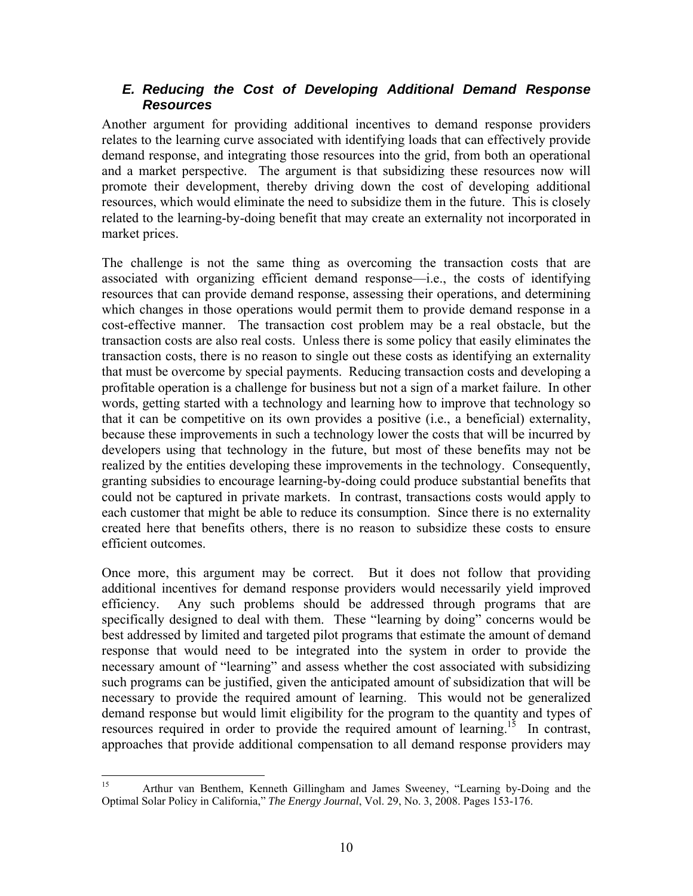#### *E. Reducing the Cost of Developing Additional Demand Response Resources*

Another argument for providing additional incentives to demand response providers relates to the learning curve associated with identifying loads that can effectively provide demand response, and integrating those resources into the grid, from both an operational and a market perspective. The argument is that subsidizing these resources now will promote their development, thereby driving down the cost of developing additional resources, which would eliminate the need to subsidize them in the future. This is closely related to the learning-by-doing benefit that may create an externality not incorporated in market prices.

The challenge is not the same thing as overcoming the transaction costs that are associated with organizing efficient demand response—i.e., the costs of identifying resources that can provide demand response, assessing their operations, and determining which changes in those operations would permit them to provide demand response in a cost-effective manner. The transaction cost problem may be a real obstacle, but the transaction costs are also real costs. Unless there is some policy that easily eliminates the transaction costs, there is no reason to single out these costs as identifying an externality that must be overcome by special payments. Reducing transaction costs and developing a profitable operation is a challenge for business but not a sign of a market failure. In other words, getting started with a technology and learning how to improve that technology so that it can be competitive on its own provides a positive (i.e., a beneficial) externality, because these improvements in such a technology lower the costs that will be incurred by developers using that technology in the future, but most of these benefits may not be realized by the entities developing these improvements in the technology. Consequently, granting subsidies to encourage learning-by-doing could produce substantial benefits that could not be captured in private markets. In contrast, transactions costs would apply to each customer that might be able to reduce its consumption. Since there is no externality created here that benefits others, there is no reason to subsidize these costs to ensure efficient outcomes.

Once more, this argument may be correct. But it does not follow that providing additional incentives for demand response providers would necessarily yield improved efficiency. Any such problems should be addressed through programs that are specifically designed to deal with them. These "learning by doing" concerns would be best addressed by limited and targeted pilot programs that estimate the amount of demand response that would need to be integrated into the system in order to provide the necessary amount of "learning" and assess whether the cost associated with subsidizing such programs can be justified, given the anticipated amount of subsidization that will be necessary to provide the required amount of learning. This would not be generalized demand response but would limit eligibility for the program to the quantity and types of resources required in order to provide the required amount of learning.<sup>15</sup> In contrast, approaches that provide additional compensation to all demand response providers may

<sup>15</sup> 15 Arthur van Benthem, Kenneth Gillingham and James Sweeney, "Learning by-Doing and the Optimal Solar Policy in California," *The Energy Journal*, Vol. 29, No. 3, 2008. Pages 153-176.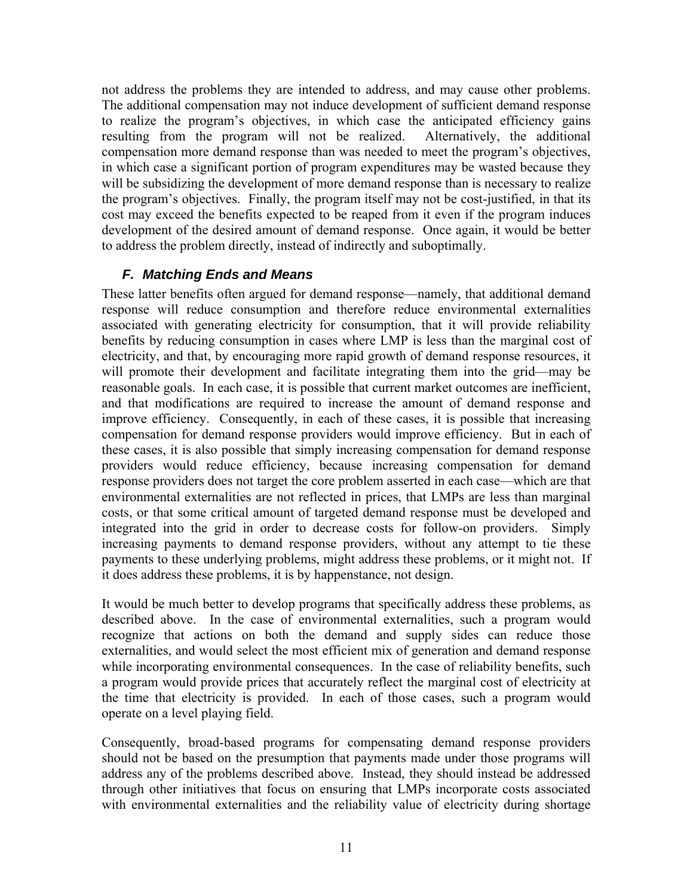not address the problems they are intended to address, and may cause other problems. The additional compensation may not induce development of sufficient demand response to realize the program's objectives, in which case the anticipated efficiency gains resulting from the program will not be realized. Alternatively, the additional compensation more demand response than was needed to meet the program's objectives, in which case a significant portion of program expenditures may be wasted because they will be subsidizing the development of more demand response than is necessary to realize the program's objectives. Finally, the program itself may not be cost-justified, in that its cost may exceed the benefits expected to be reaped from it even if the program induces development of the desired amount of demand response. Once again, it would be better to address the problem directly, instead of indirectly and suboptimally.

### *F. Matching Ends and Means*

These latter benefits often argued for demand response—namely, that additional demand response will reduce consumption and therefore reduce environmental externalities associated with generating electricity for consumption, that it will provide reliability benefits by reducing consumption in cases where LMP is less than the marginal cost of electricity, and that, by encouraging more rapid growth of demand response resources, it will promote their development and facilitate integrating them into the grid—may be reasonable goals. In each case, it is possible that current market outcomes are inefficient, and that modifications are required to increase the amount of demand response and improve efficiency. Consequently, in each of these cases, it is possible that increasing compensation for demand response providers would improve efficiency. But in each of these cases, it is also possible that simply increasing compensation for demand response providers would reduce efficiency, because increasing compensation for demand response providers does not target the core problem asserted in each case—which are that environmental externalities are not reflected in prices, that LMPs are less than marginal costs, or that some critical amount of targeted demand response must be developed and integrated into the grid in order to decrease costs for follow-on providers. Simply increasing payments to demand response providers, without any attempt to tie these payments to these underlying problems, might address these problems, or it might not. If it does address these problems, it is by happenstance, not design.

It would be much better to develop programs that specifically address these problems, as described above. In the case of environmental externalities, such a program would recognize that actions on both the demand and supply sides can reduce those externalities, and would select the most efficient mix of generation and demand response while incorporating environmental consequences. In the case of reliability benefits, such a program would provide prices that accurately reflect the marginal cost of electricity at the time that electricity is provided. In each of those cases, such a program would operate on a level playing field.

Consequently, broad-based programs for compensating demand response providers should not be based on the presumption that payments made under those programs will address any of the problems described above. Instead, they should instead be addressed through other initiatives that focus on ensuring that LMPs incorporate costs associated with environmental externalities and the reliability value of electricity during shortage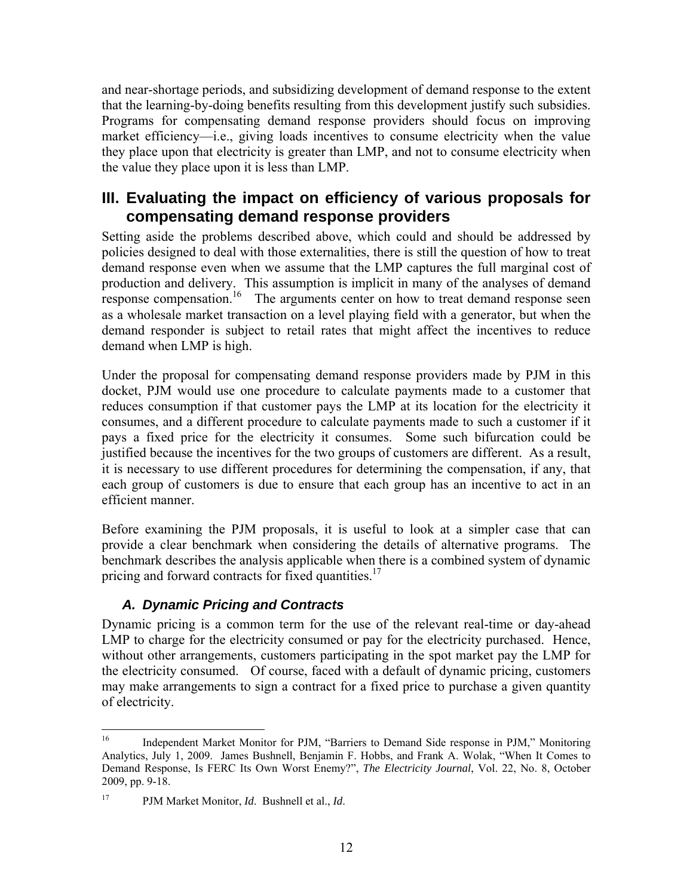and near-shortage periods, and subsidizing development of demand response to the extent that the learning-by-doing benefits resulting from this development justify such subsidies. Programs for compensating demand response providers should focus on improving market efficiency—i.e., giving loads incentives to consume electricity when the value they place upon that electricity is greater than LMP, and not to consume electricity when the value they place upon it is less than LMP.

# **III. Evaluating the impact on efficiency of various proposals for compensating demand response providers**

Setting aside the problems described above, which could and should be addressed by policies designed to deal with those externalities, there is still the question of how to treat demand response even when we assume that the LMP captures the full marginal cost of production and delivery. This assumption is implicit in many of the analyses of demand response compensation.<sup>16</sup> The arguments center on how to treat demand response seen as a wholesale market transaction on a level playing field with a generator, but when the demand responder is subject to retail rates that might affect the incentives to reduce demand when LMP is high.

Under the proposal for compensating demand response providers made by PJM in this docket, PJM would use one procedure to calculate payments made to a customer that reduces consumption if that customer pays the LMP at its location for the electricity it consumes, and a different procedure to calculate payments made to such a customer if it pays a fixed price for the electricity it consumes. Some such bifurcation could be justified because the incentives for the two groups of customers are different. As a result, it is necessary to use different procedures for determining the compensation, if any, that each group of customers is due to ensure that each group has an incentive to act in an efficient manner.

Before examining the PJM proposals, it is useful to look at a simpler case that can provide a clear benchmark when considering the details of alternative programs. The benchmark describes the analysis applicable when there is a combined system of dynamic pricing and forward contracts for fixed quantities.<sup>17</sup>

### *A. Dynamic Pricing and Contracts*

Dynamic pricing is a common term for the use of the relevant real-time or day-ahead LMP to charge for the electricity consumed or pay for the electricity purchased. Hence, without other arrangements, customers participating in the spot market pay the LMP for the electricity consumed. Of course, faced with a default of dynamic pricing, customers may make arrangements to sign a contract for a fixed price to purchase a given quantity of electricity.

 $16<sup>1</sup>$ 16 Independent Market Monitor for PJM, "Barriers to Demand Side response in PJM," Monitoring Analytics, July 1, 2009. James Bushnell, Benjamin F. Hobbs, and Frank A. Wolak, "When It Comes to Demand Response, Is FERC Its Own Worst Enemy?", *The Electricity Journal*, Vol. 22, No. 8, October 2009, pp. 9-18.

<sup>17</sup> PJM Market Monitor, *Id*. Bushnell et al., *Id*.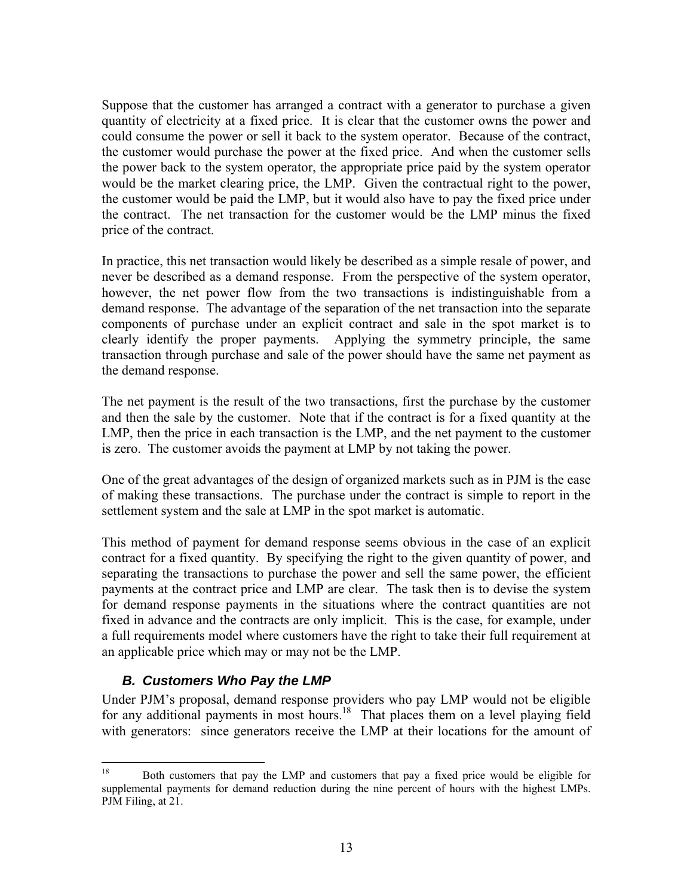Suppose that the customer has arranged a contract with a generator to purchase a given quantity of electricity at a fixed price. It is clear that the customer owns the power and could consume the power or sell it back to the system operator. Because of the contract, the customer would purchase the power at the fixed price. And when the customer sells the power back to the system operator, the appropriate price paid by the system operator would be the market clearing price, the LMP. Given the contractual right to the power, the customer would be paid the LMP, but it would also have to pay the fixed price under the contract. The net transaction for the customer would be the LMP minus the fixed price of the contract.

In practice, this net transaction would likely be described as a simple resale of power, and never be described as a demand response. From the perspective of the system operator, however, the net power flow from the two transactions is indistinguishable from a demand response. The advantage of the separation of the net transaction into the separate components of purchase under an explicit contract and sale in the spot market is to clearly identify the proper payments. Applying the symmetry principle, the same transaction through purchase and sale of the power should have the same net payment as the demand response.

The net payment is the result of the two transactions, first the purchase by the customer and then the sale by the customer. Note that if the contract is for a fixed quantity at the LMP, then the price in each transaction is the LMP, and the net payment to the customer is zero. The customer avoids the payment at LMP by not taking the power.

One of the great advantages of the design of organized markets such as in PJM is the ease of making these transactions. The purchase under the contract is simple to report in the settlement system and the sale at LMP in the spot market is automatic.

This method of payment for demand response seems obvious in the case of an explicit contract for a fixed quantity. By specifying the right to the given quantity of power, and separating the transactions to purchase the power and sell the same power, the efficient payments at the contract price and LMP are clear. The task then is to devise the system for demand response payments in the situations where the contract quantities are not fixed in advance and the contracts are only implicit. This is the case, for example, under a full requirements model where customers have the right to take their full requirement at an applicable price which may or may not be the LMP.

### *B. Customers Who Pay the LMP*

Under PJM's proposal, demand response providers who pay LMP would not be eligible for any additional payments in most hours.<sup>18</sup> That places them on a level playing field with generators: since generators receive the LMP at their locations for the amount of

<sup>18</sup> 18 Both customers that pay the LMP and customers that pay a fixed price would be eligible for supplemental payments for demand reduction during the nine percent of hours with the highest LMPs. PJM Filing, at 21.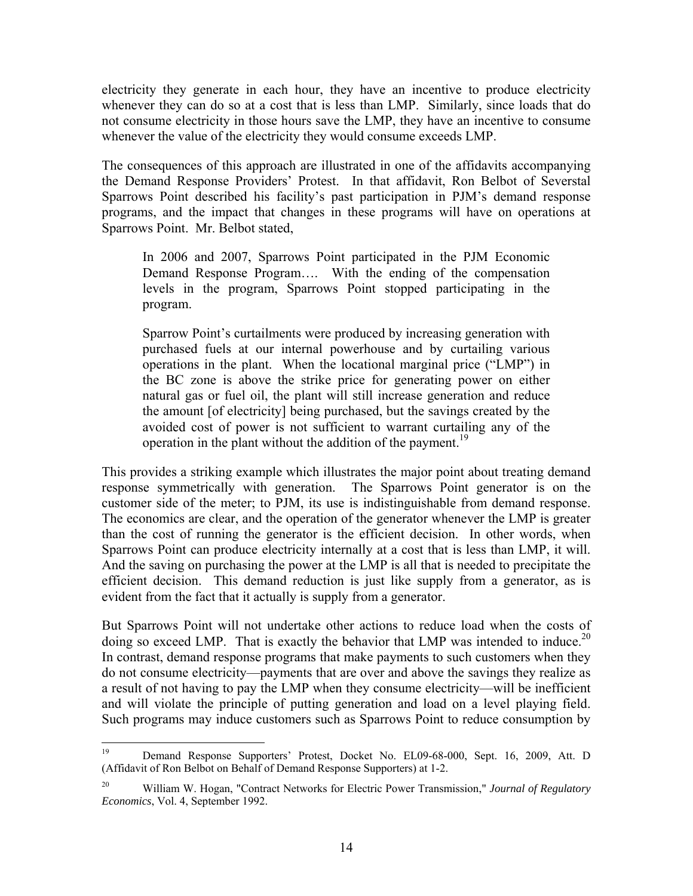electricity they generate in each hour, they have an incentive to produce electricity whenever they can do so at a cost that is less than LMP. Similarly, since loads that do not consume electricity in those hours save the LMP, they have an incentive to consume whenever the value of the electricity they would consume exceeds LMP.

The consequences of this approach are illustrated in one of the affidavits accompanying the Demand Response Providers' Protest. In that affidavit, Ron Belbot of Severstal Sparrows Point described his facility's past participation in PJM's demand response programs, and the impact that changes in these programs will have on operations at Sparrows Point. Mr. Belbot stated,

In 2006 and 2007, Sparrows Point participated in the PJM Economic Demand Response Program…. With the ending of the compensation levels in the program, Sparrows Point stopped participating in the program.

Sparrow Point's curtailments were produced by increasing generation with purchased fuels at our internal powerhouse and by curtailing various operations in the plant. When the locational marginal price ("LMP") in the BC zone is above the strike price for generating power on either natural gas or fuel oil, the plant will still increase generation and reduce the amount [of electricity] being purchased, but the savings created by the avoided cost of power is not sufficient to warrant curtailing any of the operation in the plant without the addition of the payment.<sup>19</sup>

This provides a striking example which illustrates the major point about treating demand response symmetrically with generation. The Sparrows Point generator is on the customer side of the meter; to PJM, its use is indistinguishable from demand response. The economics are clear, and the operation of the generator whenever the LMP is greater than the cost of running the generator is the efficient decision. In other words, when Sparrows Point can produce electricity internally at a cost that is less than LMP, it will. And the saving on purchasing the power at the LMP is all that is needed to precipitate the efficient decision. This demand reduction is just like supply from a generator, as is evident from the fact that it actually is supply from a generator.

But Sparrows Point will not undertake other actions to reduce load when the costs of doing so exceed LMP. That is exactly the behavior that LMP was intended to induce.<sup>20</sup> In contrast, demand response programs that make payments to such customers when they do not consume electricity—payments that are over and above the savings they realize as a result of not having to pay the LMP when they consume electricity—will be inefficient and will violate the principle of putting generation and load on a level playing field. Such programs may induce customers such as Sparrows Point to reduce consumption by

<sup>19</sup> 19 Demand Response Supporters' Protest, Docket No. EL09-68-000, Sept. 16, 2009, Att. D (Affidavit of Ron Belbot on Behalf of Demand Response Supporters) at 1-2.

<sup>20</sup> William W. Hogan, "Contract Networks for Electric Power Transmission," *Journal of Regulatory Economics*, Vol. 4, September 1992.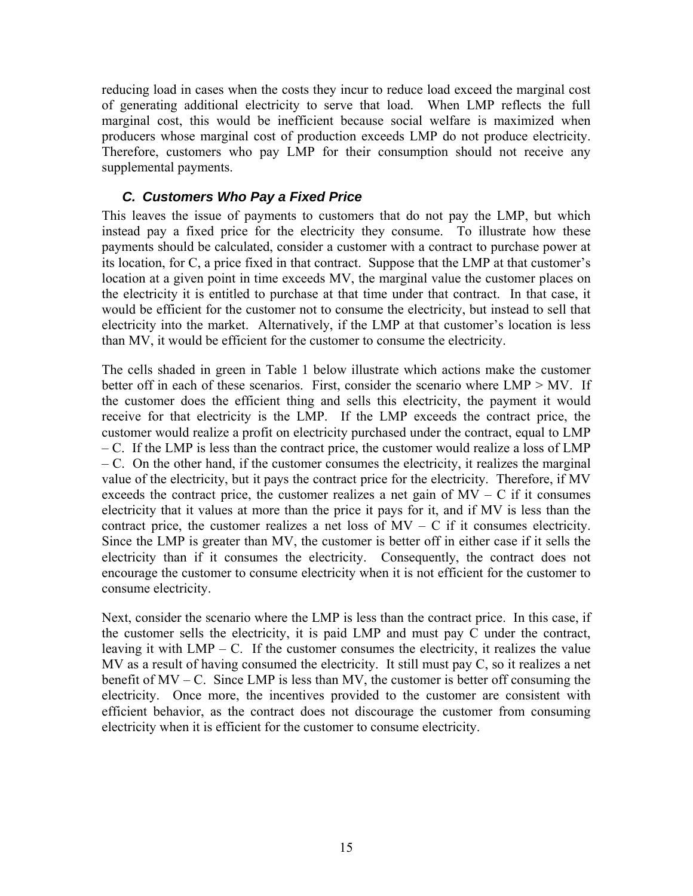reducing load in cases when the costs they incur to reduce load exceed the marginal cost of generating additional electricity to serve that load. When LMP reflects the full marginal cost, this would be inefficient because social welfare is maximized when producers whose marginal cost of production exceeds LMP do not produce electricity. Therefore, customers who pay LMP for their consumption should not receive any supplemental payments.

#### *C. Customers Who Pay a Fixed Price*

This leaves the issue of payments to customers that do not pay the LMP, but which instead pay a fixed price for the electricity they consume. To illustrate how these payments should be calculated, consider a customer with a contract to purchase power at its location, for C, a price fixed in that contract. Suppose that the LMP at that customer's location at a given point in time exceeds MV, the marginal value the customer places on the electricity it is entitled to purchase at that time under that contract. In that case, it would be efficient for the customer not to consume the electricity, but instead to sell that electricity into the market. Alternatively, if the LMP at that customer's location is less than MV, it would be efficient for the customer to consume the electricity.

The cells shaded in green in Table 1 below illustrate which actions make the customer better off in each of these scenarios. First, consider the scenario where  $LMP > MV$ . If the customer does the efficient thing and sells this electricity, the payment it would receive for that electricity is the LMP. If the LMP exceeds the contract price, the customer would realize a profit on electricity purchased under the contract, equal to LMP – C. If the LMP is less than the contract price, the customer would realize a loss of LMP – C. On the other hand, if the customer consumes the electricity, it realizes the marginal value of the electricity, but it pays the contract price for the electricity. Therefore, if MV exceeds the contract price, the customer realizes a net gain of  $MV - C$  if it consumes electricity that it values at more than the price it pays for it, and if MV is less than the contract price, the customer realizes a net loss of  $MV - C$  if it consumes electricity. Since the LMP is greater than MV, the customer is better off in either case if it sells the electricity than if it consumes the electricity. Consequently, the contract does not encourage the customer to consume electricity when it is not efficient for the customer to consume electricity.

Next, consider the scenario where the LMP is less than the contract price. In this case, if the customer sells the electricity, it is paid LMP and must pay  $\overline{C}$  under the contract, leaving it with  $LMP - C$ . If the customer consumes the electricity, it realizes the value MV as a result of having consumed the electricity. It still must pay C, so it realizes a net benefit of MV – C. Since LMP is less than MV, the customer is better off consuming the electricity. Once more, the incentives provided to the customer are consistent with efficient behavior, as the contract does not discourage the customer from consuming electricity when it is efficient for the customer to consume electricity.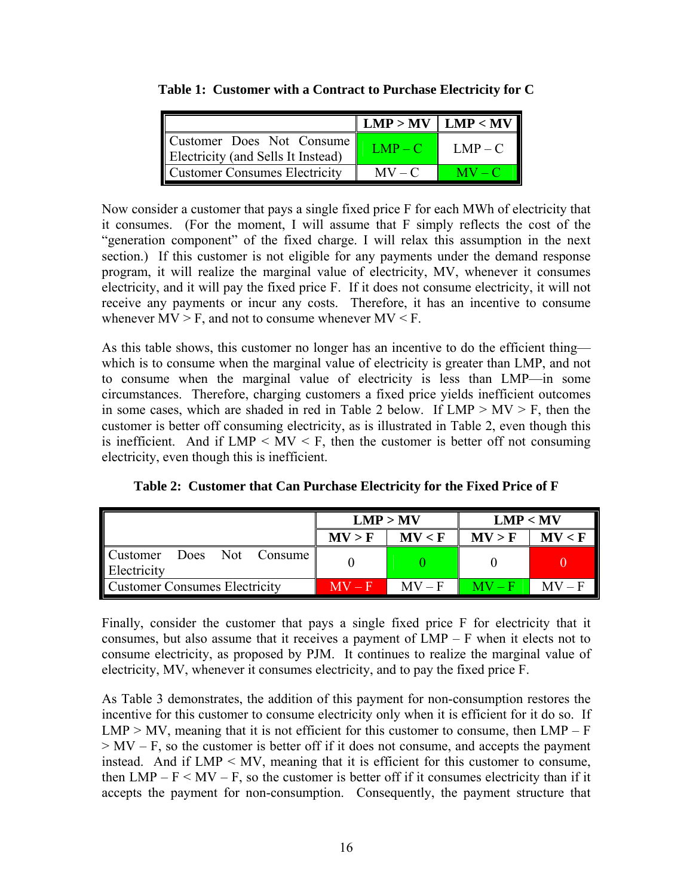|                                                                 |           | $LMP > MV$   $LMP < MV$ |
|-----------------------------------------------------------------|-----------|-------------------------|
| Customer Does Not Consume<br>Electricity (and Sells It Instead) | $LMP - C$ | $LMP - C$               |
| Customer Consumes Electricity                                   | $MV - C$  | $MV - C$                |

**Table 1: Customer with a Contract to Purchase Electricity for C** 

Now consider a customer that pays a single fixed price F for each MWh of electricity that it consumes. (For the moment, I will assume that F simply reflects the cost of the "generation component" of the fixed charge. I will relax this assumption in the next section.) If this customer is not eligible for any payments under the demand response program, it will realize the marginal value of electricity, MV, whenever it consumes electricity, and it will pay the fixed price F. If it does not consume electricity, it will not receive any payments or incur any costs. Therefore, it has an incentive to consume whenever  $MV > F$ , and not to consume whenever  $MV < F$ .

As this table shows, this customer no longer has an incentive to do the efficient thing which is to consume when the marginal value of electricity is greater than LMP, and not to consume when the marginal value of electricity is less than LMP—in some circumstances. Therefore, charging customers a fixed price yields inefficient outcomes in some cases, which are shaded in red in Table 2 below. If  $LMP > MV > F$ , then the customer is better off consuming electricity, as is illustrated in Table 2, even though this is inefficient. And if  $LMP \leq MV \leq F$ , then the customer is better off not consuming electricity, even though this is inefficient.

|                                          | LMP > MV |          | LMP < MV |          |
|------------------------------------------|----------|----------|----------|----------|
|                                          | MV > F   | MV < F   | MV > F   | MV < F   |
| Customer Does Not Consume<br>Electricity |          |          |          |          |
| <b>Customer Consumes Electricity</b>     | $MV - F$ | $MV - F$ | $MV = F$ | $MV = F$ |

**Table 2: Customer that Can Purchase Electricity for the Fixed Price of F** 

Finally, consider the customer that pays a single fixed price F for electricity that it consumes, but also assume that it receives a payment of LMP – F when it elects not to consume electricity, as proposed by PJM. It continues to realize the marginal value of electricity, MV, whenever it consumes electricity, and to pay the fixed price F.

As Table 3 demonstrates, the addition of this payment for non-consumption restores the incentive for this customer to consume electricity only when it is efficient for it do so. If  $LMP > MV$ , meaning that it is not efficient for this customer to consume, then  $LMP - F$  $> MV - F$ , so the customer is better off if it does not consume, and accepts the payment instead. And if  $LMP \leq MV$ , meaning that it is efficient for this customer to consume, then  $LMP - F < MV - F$ , so the customer is better off if it consumes electricity than if it accepts the payment for non-consumption. Consequently, the payment structure that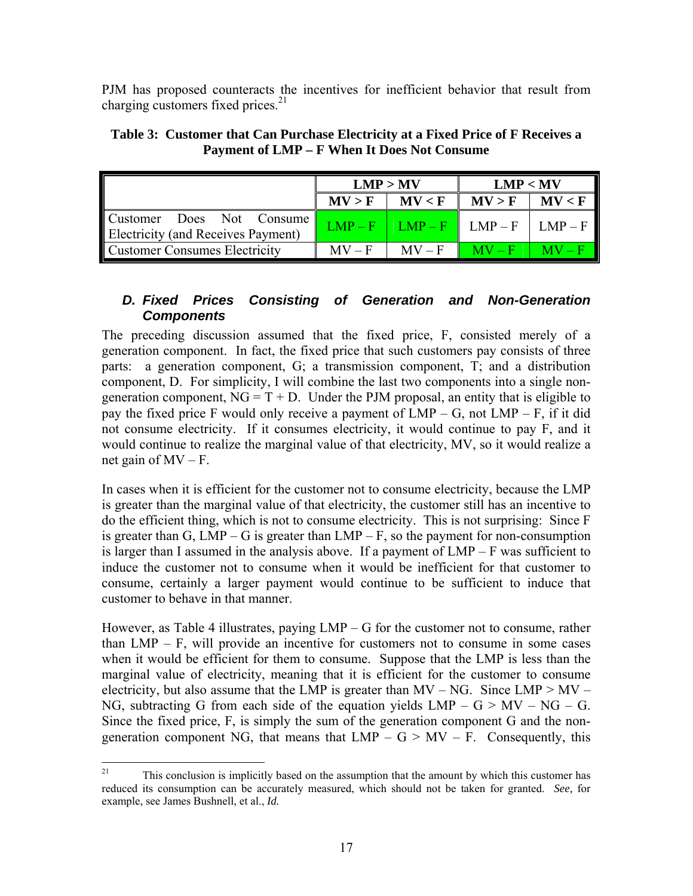PJM has proposed counteracts the incentives for inefficient behavior that result from charging customers fixed prices. $2<sup>1</sup>$ 

|                                                                 | LMP > MV |          | LMP < MV                              |  |
|-----------------------------------------------------------------|----------|----------|---------------------------------------|--|
|                                                                 | MV > F   | MV < F   | $MV > F$   $MV < F$                   |  |
| Customer Does Not Consume<br>Electricity (and Receives Payment) |          |          | $LMP-F$   $LMP-F$   $LMP-F$   $LMP-F$ |  |
| <b>Customer Consumes Electricity</b>                            | $MV - F$ | $MV - F$ | $M_V - F$ $M_V - F$                   |  |

**Table 3: Customer that Can Purchase Electricity at a Fixed Price of F Receives a Payment of LMP – F When It Does Not Consume** 

#### *D. Fixed Prices Consisting of Generation and Non-Generation Components*

The preceding discussion assumed that the fixed price, F, consisted merely of a generation component. In fact, the fixed price that such customers pay consists of three parts: a generation component, G; a transmission component, T; and a distribution component, D. For simplicity, I will combine the last two components into a single nongeneration component,  $NG = T + D$ . Under the PJM proposal, an entity that is eligible to pay the fixed price F would only receive a payment of  $LMP - G$ , not  $LMP - F$ , if it did not consume electricity. If it consumes electricity, it would continue to pay F, and it would continue to realize the marginal value of that electricity, MV, so it would realize a net gain of  $MV - F$ .

In cases when it is efficient for the customer not to consume electricity, because the LMP is greater than the marginal value of that electricity, the customer still has an incentive to do the efficient thing, which is not to consume electricity. This is not surprising: Since F is greater than G,  $LMP - G$  is greater than  $LMP - F$ , so the payment for non-consumption is larger than I assumed in the analysis above. If a payment of  $LMP - F$  was sufficient to induce the customer not to consume when it would be inefficient for that customer to consume, certainly a larger payment would continue to be sufficient to induce that customer to behave in that manner.

However, as Table 4 illustrates, paying  $LMP - G$  for the customer not to consume, rather than  $LMP - F$ , will provide an incentive for customers not to consume in some cases when it would be efficient for them to consume. Suppose that the LMP is less than the marginal value of electricity, meaning that it is efficient for the customer to consume electricity, but also assume that the LMP is greater than  $MV - NG$ . Since  $LMP > MV -$ NG, subtracting G from each side of the equation yields  $LMP - G > MV - NG - G$ . Since the fixed price, F, is simply the sum of the generation component G and the nongeneration component NG, that means that  $LMP - G > MV - F$ . Consequently, this

 $21$ 21 This conclusion is implicitly based on the assumption that the amount by which this customer has reduced its consumption can be accurately measured, which should not be taken for granted. *See,* for example, see James Bushnell, et al., *Id.*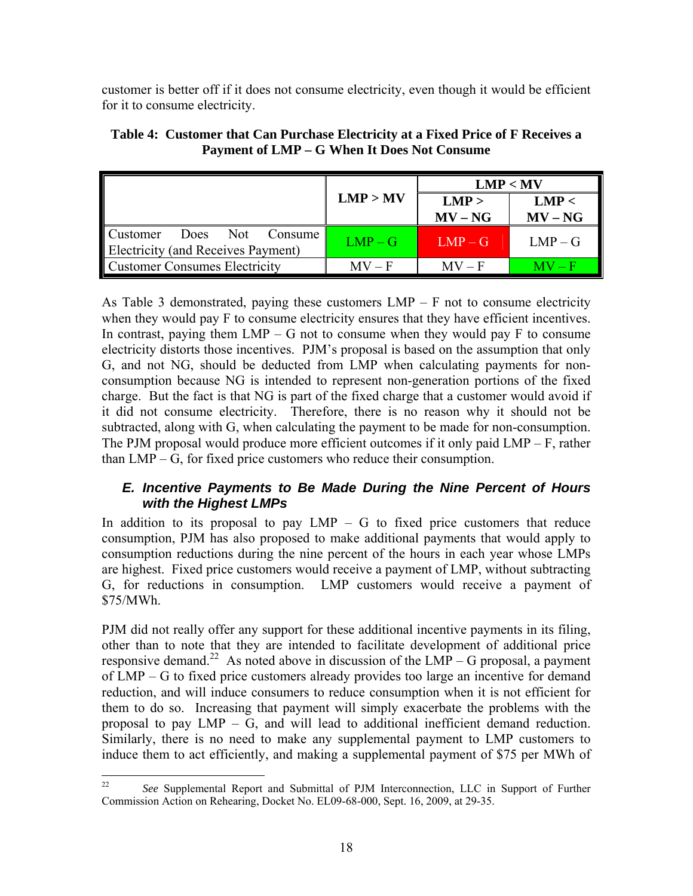customer is better off if it does not consume electricity, even though it would be efficient for it to consume electricity.

|                                                                           |           | LMP < MV           |                    |  |
|---------------------------------------------------------------------------|-----------|--------------------|--------------------|--|
|                                                                           | LMP > MV  | LMP ><br>$MV - NG$ | LMP <<br>$MV - NG$ |  |
| <b>Customer</b><br>Does Not Consume<br>Electricity (and Receives Payment) | $LMP - G$ | $LMP - G$          | $LMP - G$          |  |
| <b>Customer Consumes Electricity</b>                                      | $MV - F$  | $MV - F$           | $MV - F$           |  |

**Table 4: Customer that Can Purchase Electricity at a Fixed Price of F Receives a Payment of LMP – G When It Does Not Consume** 

As Table 3 demonstrated, paying these customers  $LMP - F$  not to consume electricity when they would pay F to consume electricity ensures that they have efficient incentives. In contrast, paying them  $LMP - G$  not to consume when they would pay F to consume electricity distorts those incentives. PJM's proposal is based on the assumption that only G, and not NG, should be deducted from LMP when calculating payments for nonconsumption because NG is intended to represent non-generation portions of the fixed charge. But the fact is that NG is part of the fixed charge that a customer would avoid if it did not consume electricity. Therefore, there is no reason why it should not be subtracted, along with G, when calculating the payment to be made for non-consumption. The PJM proposal would produce more efficient outcomes if it only paid LMP – F, rather than LMP – G, for fixed price customers who reduce their consumption.

#### *E. Incentive Payments to Be Made During the Nine Percent of Hours with the Highest LMPs*

In addition to its proposal to pay  $LMP - G$  to fixed price customers that reduce consumption, PJM has also proposed to make additional payments that would apply to consumption reductions during the nine percent of the hours in each year whose LMPs are highest. Fixed price customers would receive a payment of LMP, without subtracting G, for reductions in consumption. LMP customers would receive a payment of \$75/MWh.

PJM did not really offer any support for these additional incentive payments in its filing, other than to note that they are intended to facilitate development of additional price responsive demand.<sup>22</sup> As noted above in discussion of the  $LMP - G$  proposal, a payment of LMP – G to fixed price customers already provides too large an incentive for demand reduction, and will induce consumers to reduce consumption when it is not efficient for them to do so. Increasing that payment will simply exacerbate the problems with the proposal to pay  $LMP - G$ , and will lead to additional inefficient demand reduction. Similarly, there is no need to make any supplemental payment to LMP customers to induce them to act efficiently, and making a supplemental payment of \$75 per MWh of

<sup>22</sup> 22 *See* Supplemental Report and Submittal of PJM Interconnection, LLC in Support of Further Commission Action on Rehearing, Docket No. EL09-68-000, Sept. 16, 2009, at 29-35.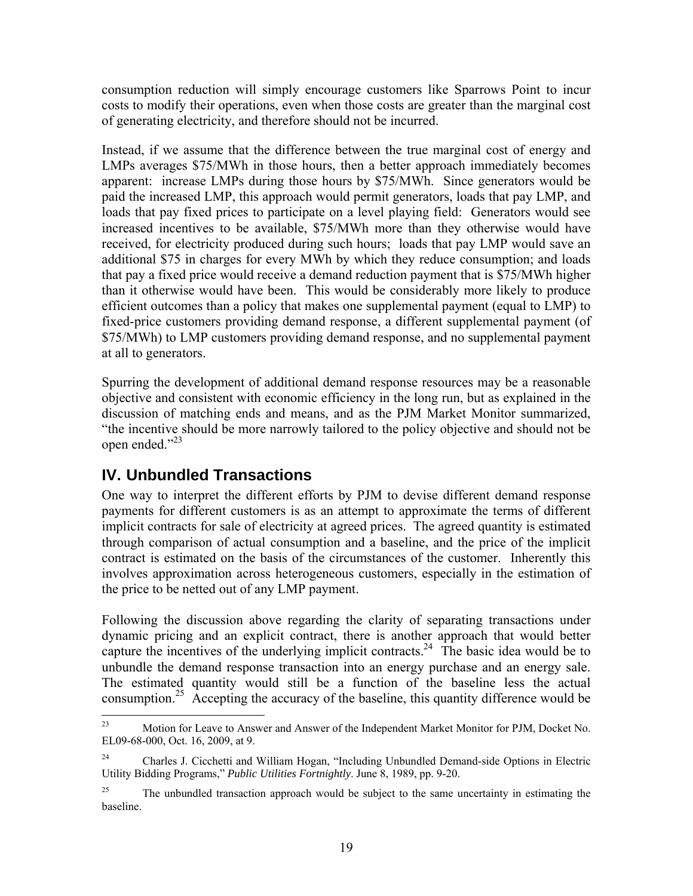consumption reduction will simply encourage customers like Sparrows Point to incur costs to modify their operations, even when those costs are greater than the marginal cost of generating electricity, and therefore should not be incurred.

Instead, if we assume that the difference between the true marginal cost of energy and LMPs averages \$75/MWh in those hours, then a better approach immediately becomes apparent: increase LMPs during those hours by \$75/MWh. Since generators would be paid the increased LMP, this approach would permit generators, loads that pay LMP, and loads that pay fixed prices to participate on a level playing field: Generators would see increased incentives to be available, \$75/MWh more than they otherwise would have received, for electricity produced during such hours; loads that pay LMP would save an additional \$75 in charges for every MWh by which they reduce consumption; and loads that pay a fixed price would receive a demand reduction payment that is \$75/MWh higher than it otherwise would have been. This would be considerably more likely to produce efficient outcomes than a policy that makes one supplemental payment (equal to LMP) to fixed-price customers providing demand response, a different supplemental payment (of \$75/MWh) to LMP customers providing demand response, and no supplemental payment at all to generators.

Spurring the development of additional demand response resources may be a reasonable objective and consistent with economic efficiency in the long run, but as explained in the discussion of matching ends and means, and as the PJM Market Monitor summarized, "the incentive should be more narrowly tailored to the policy objective and should not be open ended."23

# **IV. Unbundled Transactions**

One way to interpret the different efforts by PJM to devise different demand response payments for different customers is as an attempt to approximate the terms of different implicit contracts for sale of electricity at agreed prices. The agreed quantity is estimated through comparison of actual consumption and a baseline, and the price of the implicit contract is estimated on the basis of the circumstances of the customer. Inherently this involves approximation across heterogeneous customers, especially in the estimation of the price to be netted out of any LMP payment.

Following the discussion above regarding the clarity of separating transactions under dynamic pricing and an explicit contract, there is another approach that would better capture the incentives of the underlying implicit contracts.<sup>24</sup> The basic idea would be to unbundle the demand response transaction into an energy purchase and an energy sale. The estimated quantity would still be a function of the baseline less the actual consumption.<sup>25</sup> Accepting the accuracy of the baseline, this quantity difference would be

 $23$ 23 Motion for Leave to Answer and Answer of the Independent Market Monitor for PJM, Docket No. EL09-68-000, Oct. 16, 2009, at 9.

<sup>24</sup> Charles J. Cicchetti and William Hogan, "Including Unbundled Demand-side Options in Electric Utility Bidding Programs," *Public Utilities Fortnightly*. June 8, 1989, pp. 9-20.

<sup>&</sup>lt;sup>25</sup> The unbundled transaction approach would be subject to the same uncertainty in estimating the baseline.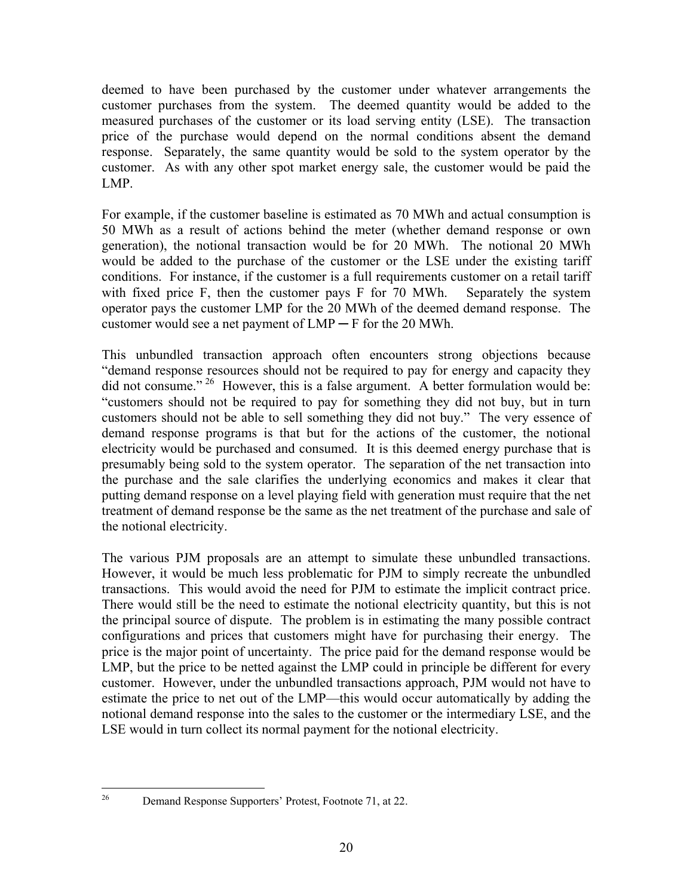deemed to have been purchased by the customer under whatever arrangements the customer purchases from the system. The deemed quantity would be added to the measured purchases of the customer or its load serving entity (LSE). The transaction price of the purchase would depend on the normal conditions absent the demand response. Separately, the same quantity would be sold to the system operator by the customer. As with any other spot market energy sale, the customer would be paid the LMP.

For example, if the customer baseline is estimated as 70 MWh and actual consumption is 50 MWh as a result of actions behind the meter (whether demand response or own generation), the notional transaction would be for 20 MWh. The notional 20 MWh would be added to the purchase of the customer or the LSE under the existing tariff conditions. For instance, if the customer is a full requirements customer on a retail tariff with fixed price F, then the customer pays F for 70 MWh. Separately the system operator pays the customer LMP for the 20 MWh of the deemed demand response. The customer would see a net payment of  $LMP - F$  for the 20 MWh.

This unbundled transaction approach often encounters strong objections because "demand response resources should not be required to pay for energy and capacity they did not consume."<sup>26</sup> However, this is a false argument. A better formulation would be: "customers should not be required to pay for something they did not buy, but in turn customers should not be able to sell something they did not buy." The very essence of demand response programs is that but for the actions of the customer, the notional electricity would be purchased and consumed. It is this deemed energy purchase that is presumably being sold to the system operator. The separation of the net transaction into the purchase and the sale clarifies the underlying economics and makes it clear that putting demand response on a level playing field with generation must require that the net treatment of demand response be the same as the net treatment of the purchase and sale of the notional electricity.

The various PJM proposals are an attempt to simulate these unbundled transactions. However, it would be much less problematic for PJM to simply recreate the unbundled transactions. This would avoid the need for PJM to estimate the implicit contract price. There would still be the need to estimate the notional electricity quantity, but this is not the principal source of dispute. The problem is in estimating the many possible contract configurations and prices that customers might have for purchasing their energy. The price is the major point of uncertainty. The price paid for the demand response would be LMP, but the price to be netted against the LMP could in principle be different for every customer. However, under the unbundled transactions approach, PJM would not have to estimate the price to net out of the LMP—this would occur automatically by adding the notional demand response into the sales to the customer or the intermediary LSE, and the LSE would in turn collect its normal payment for the notional electricity.

26

Demand Response Supporters' Protest, Footnote 71, at 22.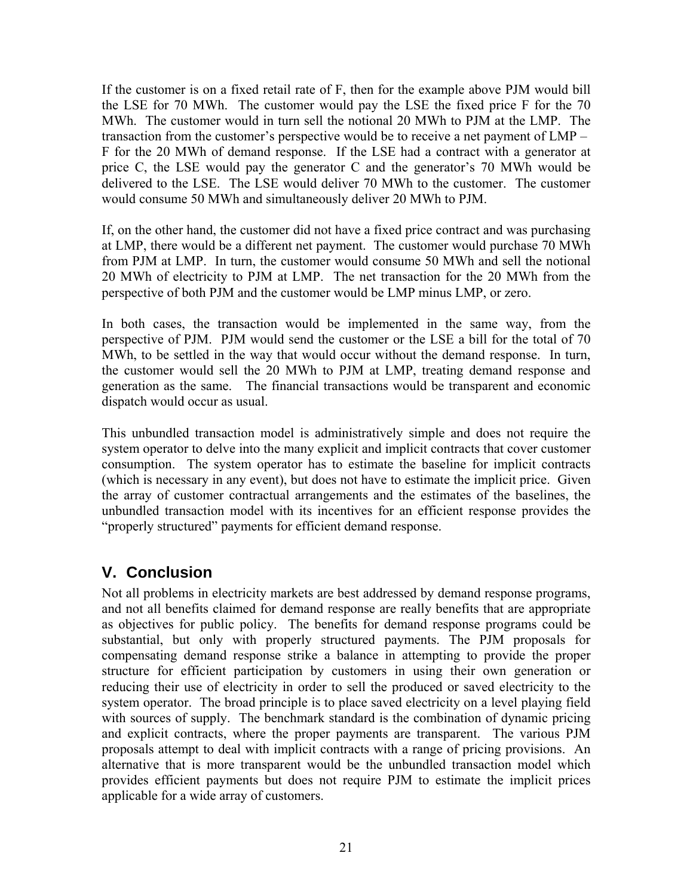If the customer is on a fixed retail rate of F, then for the example above PJM would bill the LSE for 70 MWh. The customer would pay the LSE the fixed price F for the 70 MWh. The customer would in turn sell the notional 20 MWh to PJM at the LMP. The transaction from the customer's perspective would be to receive a net payment of LMP – F for the 20 MWh of demand response. If the LSE had a contract with a generator at price C, the LSE would pay the generator C and the generator's 70 MWh would be delivered to the LSE. The LSE would deliver 70 MWh to the customer. The customer would consume 50 MWh and simultaneously deliver 20 MWh to PJM.

If, on the other hand, the customer did not have a fixed price contract and was purchasing at LMP, there would be a different net payment. The customer would purchase 70 MWh from PJM at LMP. In turn, the customer would consume 50 MWh and sell the notional 20 MWh of electricity to PJM at LMP. The net transaction for the 20 MWh from the perspective of both PJM and the customer would be LMP minus LMP, or zero.

In both cases, the transaction would be implemented in the same way, from the perspective of PJM. PJM would send the customer or the LSE a bill for the total of 70 MWh, to be settled in the way that would occur without the demand response. In turn, the customer would sell the 20 MWh to PJM at LMP, treating demand response and generation as the same. The financial transactions would be transparent and economic dispatch would occur as usual.

This unbundled transaction model is administratively simple and does not require the system operator to delve into the many explicit and implicit contracts that cover customer consumption. The system operator has to estimate the baseline for implicit contracts (which is necessary in any event), but does not have to estimate the implicit price. Given the array of customer contractual arrangements and the estimates of the baselines, the unbundled transaction model with its incentives for an efficient response provides the "properly structured" payments for efficient demand response.

# **V. Conclusion**

Not all problems in electricity markets are best addressed by demand response programs, and not all benefits claimed for demand response are really benefits that are appropriate as objectives for public policy. The benefits for demand response programs could be substantial, but only with properly structured payments. The PJM proposals for compensating demand response strike a balance in attempting to provide the proper structure for efficient participation by customers in using their own generation or reducing their use of electricity in order to sell the produced or saved electricity to the system operator. The broad principle is to place saved electricity on a level playing field with sources of supply. The benchmark standard is the combination of dynamic pricing and explicit contracts, where the proper payments are transparent. The various PJM proposals attempt to deal with implicit contracts with a range of pricing provisions. An alternative that is more transparent would be the unbundled transaction model which provides efficient payments but does not require PJM to estimate the implicit prices applicable for a wide array of customers.